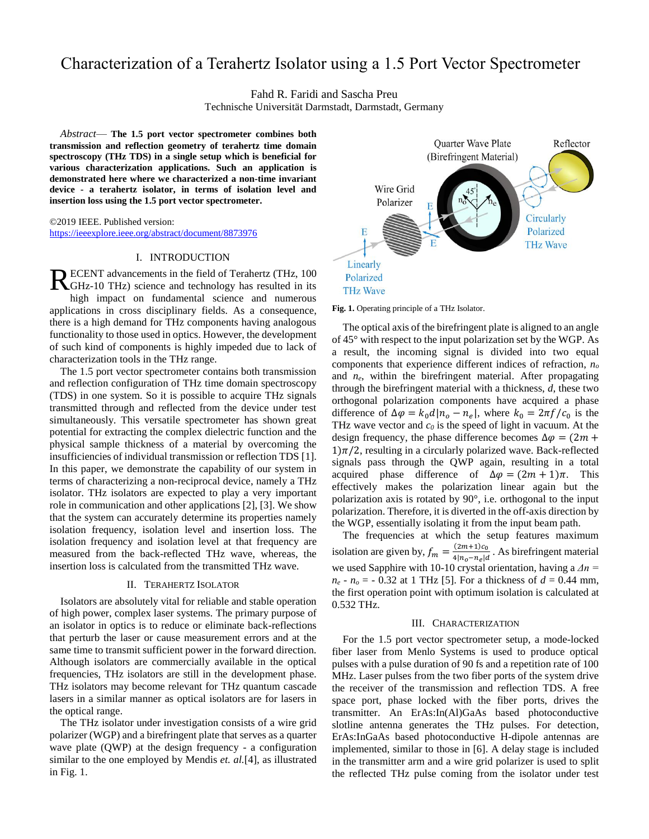# Characterization of a Terahertz Isolator using a 1.5 Port Vector Spectrometer

Fahd R. Faridi and Sascha Preu

Technische Universität Darmstadt, Darmstadt, Germany

*Abstract*— **The 1.5 port vector spectrometer combines both transmission and reflection geometry of terahertz time domain spectroscopy (THz TDS) in a single setup which is beneficial for various characterization applications. Such an application is demonstrated here where we characterized a non-time invariant device - a terahertz isolator, in terms of isolation level and insertion loss using the 1.5 port vector spectrometer.** 

©2019 IEEE. Published version: <https://ieeexplore.ieee.org/abstract/document/8873976>

## I. INTRODUCTION

ECENT advancements in the field of Terahertz (THz, 100 RECENT advancements in the field of Terahertz (THz, 100 GHz-10 THz) science and technology has resulted in its

high impact on fundamental science and numerous applications in cross disciplinary fields. As a consequence, there is a high demand for THz components having analogous functionality to those used in optics. However, the development of such kind of components is highly impeded due to lack of characterization tools in the THz range.

The 1.5 port vector spectrometer contains both transmission and reflection configuration of THz time domain spectroscopy (TDS) in one system. So it is possible to acquire THz signals transmitted through and reflected from the device under test simultaneously. This versatile spectrometer has shown great potential for extracting the complex dielectric function and the physical sample thickness of a material by overcoming the insufficiencies of individual transmission or reflection TDS [1]. In this paper, we demonstrate the capability of our system in terms of characterizing a non-reciprocal device, namely a THz isolator. THz isolators are expected to play a very important role in communication and other applications [2], [3]. We show that the system can accurately determine its properties namely isolation frequency, isolation level and insertion loss. The isolation frequency and isolation level at that frequency are measured from the back-reflected THz wave, whereas, the insertion loss is calculated from the transmitted THz wave.

### II. TERAHERTZ ISOLATOR

Isolators are absolutely vital for reliable and stable operation of high power, complex laser systems. The primary purpose of an isolator in optics is to reduce or eliminate back-reflections that perturb the laser or cause measurement errors and at the same time to transmit sufficient power in the forward direction. Although isolators are commercially available in the optical frequencies, THz isolators are still in the development phase. THz isolators may become relevant for THz quantum cascade lasers in a similar manner as optical isolators are for lasers in the optical range.

The THz isolator under investigation consists of a wire grid polarizer (WGP) and a birefringent plate that serves as a quarter wave plate (QWP) at the design frequency - a configuration similar to the one employed by Mendis *et. al.*[4], as illustrated in Fig. 1.



**Fig. 1.** Operating principle of a THz Isolator.

The optical axis of the birefringent plate is aligned to an angle of 45° with respect to the input polarization set by the WGP. As a result, the incoming signal is divided into two equal components that experience different indices of refraction, *n<sup>o</sup>* and *ne*, within the birefringent material. After propagating through the birefringent material with a thickness, *d*, these two orthogonal polarization components have acquired a phase difference of  $\Delta \varphi = k_0 d |n_0 - n_e|$ , where  $k_0 = 2\pi f / c_0$  is the THz wave vector and *c<sup>0</sup>* is the speed of light in vacuum. At the design frequency, the phase difference becomes  $\Delta \varphi = (2m +$  $1/\pi/2$ , resulting in a circularly polarized wave. Back-reflected signals pass through the QWP again, resulting in a total acquired phase difference of  $\Delta \varphi = (2m + 1)\pi$ . This effectively makes the polarization linear again but the polarization axis is rotated by 90°, i.e. orthogonal to the input polarization. Therefore, it is diverted in the off-axis direction by the WGP, essentially isolating it from the input beam path.

The frequencies at which the setup features maximum isolation are given by,  $f_m = \frac{(2m+1)c_0}{4(n-2c)}$  $\frac{(2m+1)c_0}{4|n_o-n_e|d}$ . As birefringent material we used Sapphire with 10-10 crystal orientation, having a *Δn =*   $n_e$  -  $n_o$  = - 0.32 at 1 THz [5]. For a thickness of  $d = 0.44$  mm, the first operation point with optimum isolation is calculated at 0.532 THz.

## III. CHARACTERIZATION

For the 1.5 port vector spectrometer setup, a mode-locked fiber laser from Menlo Systems is used to produce optical pulses with a pulse duration of 90 fs and a repetition rate of 100 MHz. Laser pulses from the two fiber ports of the system drive the receiver of the transmission and reflection TDS. A free space port, phase locked with the fiber ports, drives the transmitter. An ErAs:In(Al)GaAs based photoconductive slotline antenna generates the THz pulses. For detection, ErAs:InGaAs based photoconductive H-dipole antennas are implemented, similar to those in [6]. A delay stage is included in the transmitter arm and a wire grid polarizer is used to split the reflected THz pulse coming from the isolator under test